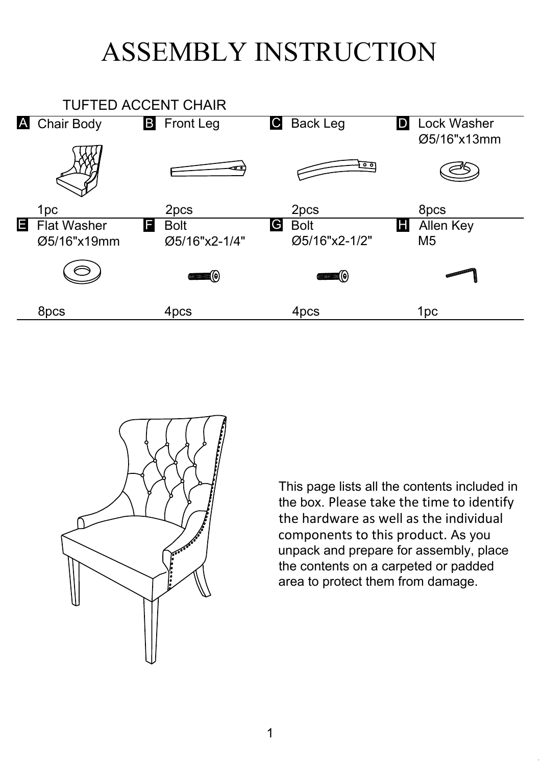## ASSEMBLY INSTRUCTION





This page lists all the contents included in the box. Please take the time to identify the hardware as well as the individual components to this product. As you unpack and prepare for assembly, place the contents on a carpeted or padded area to protect them from damage.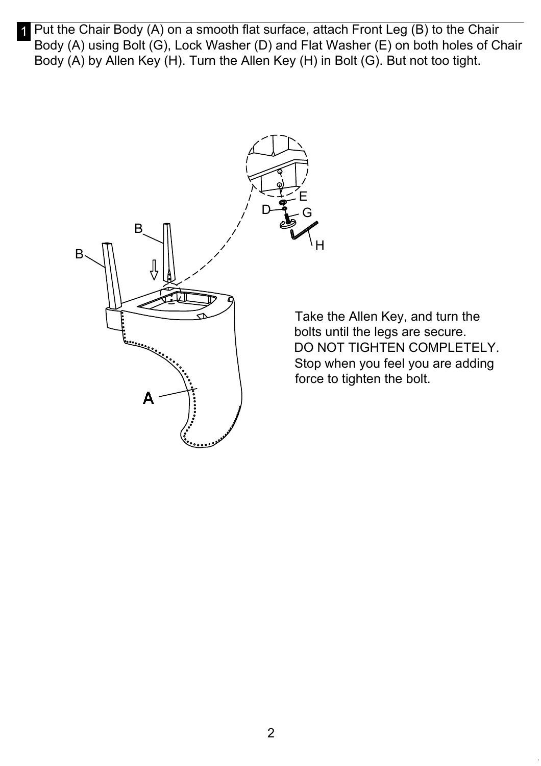1 Put the Chair Body (A) on a smooth flat surface, attach Front Leg (B) to the Chair Body (A) using Bolt (G), Lock Washer (D) and Flat Washer (E) on both holes of Chair Body (A) by Allen Key (H). Turn the Allen Key (H) in Bolt (G). But not too tight.